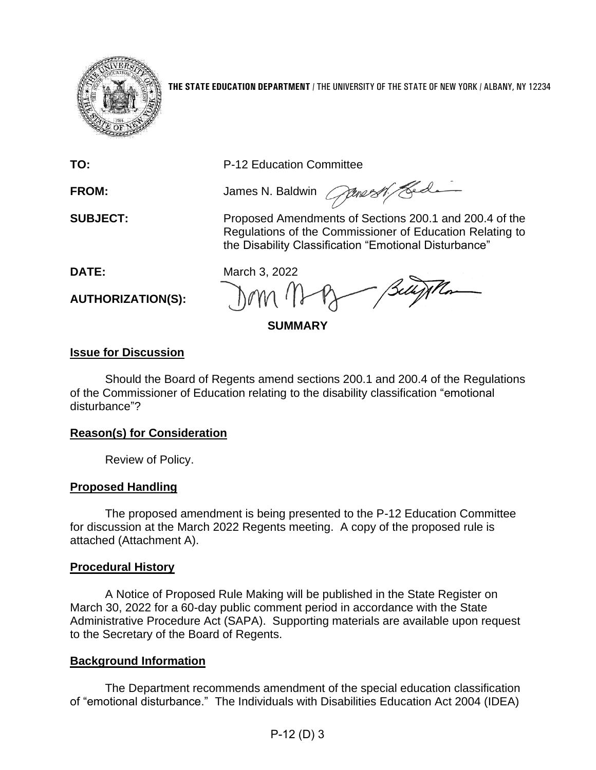

**THE STATE EDUCATION DEPARTMENT** / THE UNIVERSITY OF THE STATE OF NEW YORK / ALBANY, NY 12234

**TO:** P-12 Education Committee

FROM: James N. Baldwin *Courses of Led* 

**SUBJECT:** Proposed Amendments of Sections 200.1 and 200.4 of the Regulations of the Commissioner of Education Relating to the Disability Classification "Emotional Disturbance"

**AUTHORIZATION(S):**

**DATE:** March 3, 2022

**SUMMARY**

# **Issue for Discussion**

Should the Board of Regents amend sections 200.1 and 200.4 of the Regulations of the Commissioner of Education relating to the disability classification "emotional disturbance"?

### **Reason(s) for Consideration**

Review of Policy.

# **Proposed Handling**

The proposed amendment is being presented to the P-12 Education Committee for discussion at the March 2022 Regents meeting. A copy of the proposed rule is attached (Attachment A).

### **Procedural History**

A Notice of Proposed Rule Making will be published in the State Register on March 30, 2022 for a 60-day public comment period in accordance with the State Administrative Procedure Act (SAPA). Supporting materials are available upon request to the Secretary of the Board of Regents.

# **Background Information**

The Department recommends amendment of the special education classification of "emotional disturbance." The Individuals with Disabilities Education Act 2004 (IDEA)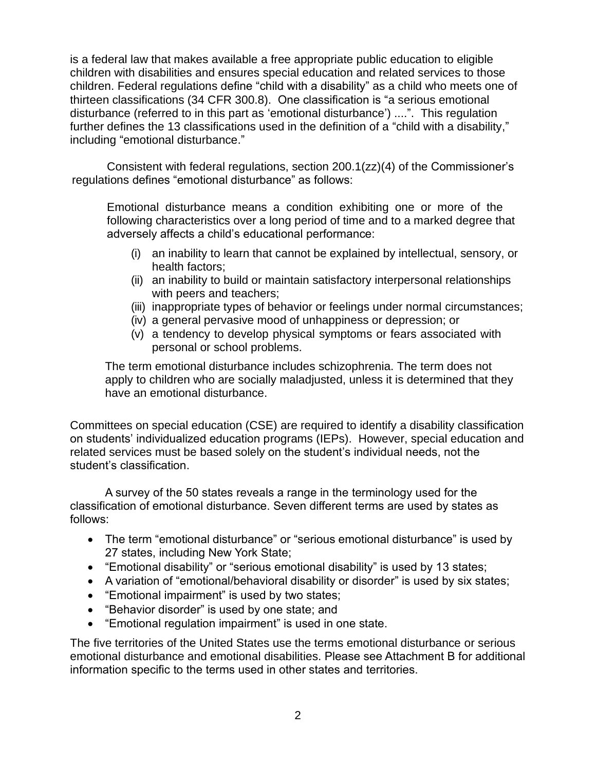is a federal law that makes available a free appropriate public education to eligible children with disabilities and ensures special education and related services to those children. Federal regulations define "child with a disability" as a child who meets one of thirteen classifications (34 CFR 300.8). One classification is "a serious emotional disturbance (referred to in this part as 'emotional disturbance') ....". This regulation further defines the 13 classifications used in the definition of a "child with a disability," including "emotional disturbance."

Consistent with federal regulations, section 200.1(zz)(4) of the Commissioner's regulations defines "emotional disturbance" as follows:

Emotional disturbance means a condition exhibiting one or more of the following characteristics over a long period of time and to a marked degree that adversely affects a child's educational performance:

- (i) an inability to learn that cannot be explained by intellectual, sensory, or health factors;
- (ii) an inability to build or maintain satisfactory interpersonal relationships with peers and teachers;
- (iii) inappropriate types of behavior or feelings under normal circumstances;
- (iv) a general pervasive mood of unhappiness or depression; or
- (v) a tendency to develop physical symptoms or fears associated with personal or school problems.

The term emotional disturbance includes schizophrenia. The term does not apply to children who are socially maladjusted, unless it is determined that they have an emotional disturbance.

Committees on special education (CSE) are required to identify a disability classification on students' individualized education programs (IEPs). However, special education and related services must be based solely on the student's individual needs, not the student's classification.

A survey of the 50 states reveals a range in the terminology used for the classification of emotional disturbance. Seven different terms are used by states as follows:

- The term "emotional disturbance" or "serious emotional disturbance" is used by 27 states, including New York State;
- "Emotional disability" or "serious emotional disability" is used by 13 states;
- A variation of "emotional/behavioral disability or disorder" is used by six states;
- "Emotional impairment" is used by two states;
- "Behavior disorder" is used by one state; and
- "Emotional regulation impairment" is used in one state.

The five territories of the United States use the terms emotional disturbance or serious emotional disturbance and emotional disabilities. Please see Attachment B for additional information specific to the terms used in other states and territories.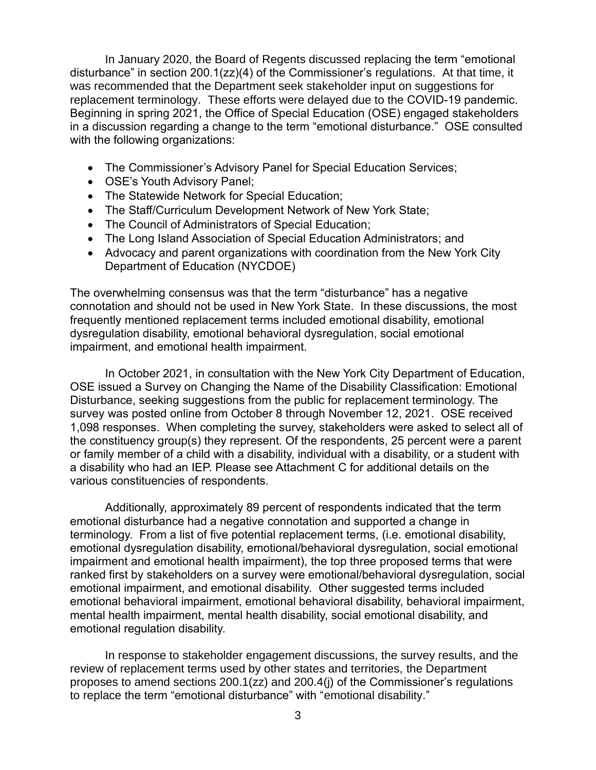In January 2020, the Board of Regents discussed replacing the term "emotional disturbance" in section 200.1(zz)(4) of the Commissioner's regulations. At that time, it was recommended that the Department seek stakeholder input on suggestions for replacement terminology. These efforts were delayed due to the COVID-19 pandemic. Beginning in spring 2021, the Office of Special Education (OSE) engaged stakeholders in a discussion regarding a change to the term "emotional disturbance." OSE consulted with the following organizations:

- The Commissioner's Advisory Panel for Special Education Services;
- OSE's Youth Advisory Panel;
- The Statewide Network for Special Education;
- The Staff/Curriculum Development Network of New York State;
- The Council of Administrators of Special Education;
- The Long Island Association of Special Education Administrators; and
- Advocacy and parent organizations with coordination from the New York City Department of Education (NYCDOE)

The overwhelming consensus was that the term "disturbance" has a negative connotation and should not be used in New York State. In these discussions, the most frequently mentioned replacement terms included emotional disability, emotional dysregulation disability, emotional behavioral dysregulation, social emotional impairment, and emotional health impairment.

In October 2021, in consultation with the New York City Department of Education, OSE issued a Survey on Changing the Name of the Disability Classification: Emotional Disturbance, seeking suggestions from the public for replacement terminology. The survey was posted online from October 8 through November 12, 2021. OSE received 1,098 responses. When completing the survey, stakeholders were asked to select all of the constituency group(s) they represent. Of the respondents, 25 percent were a parent or family member of a child with a disability, individual with a disability, or a student with a disability who had an IEP. Please see Attachment C for additional details on the various constituencies of respondents.

Additionally, approximately 89 percent of respondents indicated that the term emotional disturbance had a negative connotation and supported a change in terminology. From a list of five potential replacement terms, (i.e. emotional disability, emotional dysregulation disability, emotional/behavioral dysregulation, social emotional impairment and emotional health impairment), the top three proposed terms that were ranked first by stakeholders on a survey were emotional/behavioral dysregulation, social emotional impairment, and emotional disability. Other suggested terms included emotional behavioral impairment, emotional behavioral disability, behavioral impairment, mental health impairment, mental health disability, social emotional disability, and emotional regulation disability.

In response to stakeholder engagement discussions, the survey results, and the review of replacement terms used by other states and territories, the Department proposes to amend sections 200.1(zz) and 200.4(j) of the Commissioner's regulations to replace the term "emotional disturbance" with "emotional disability."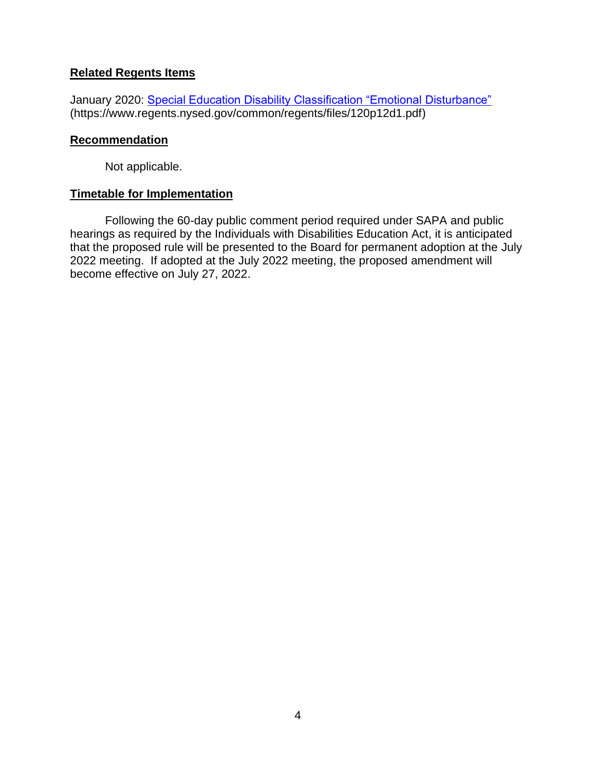### **Related Regents Items**

January 2020: [Special Education Disability Classification "Emotional Disturbance"](https://www.regents.nysed.gov/common/regents/files/120p12d1.pdf) (https://www.regents.nysed.gov/common/regents/files/120p12d1.pdf)

#### **Recommendation**

Not applicable.

#### **Timetable for Implementation**

Following the 60-day public comment period required under SAPA and public hearings as required by the Individuals with Disabilities Education Act, it is anticipated that the proposed rule will be presented to the Board for permanent adoption at the July 2022 meeting. If adopted at the July 2022 meeting, the proposed amendment will become effective on July 27, 2022.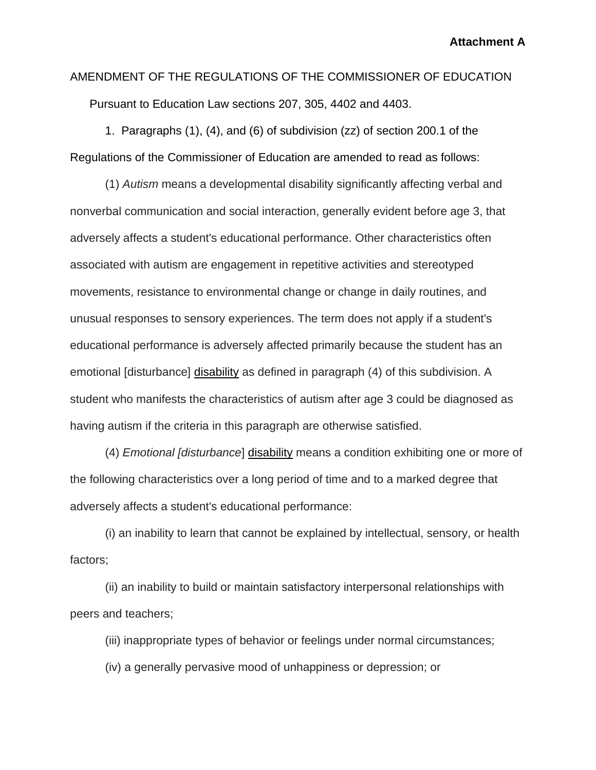**Attachment A**

AMENDMENT OF THE REGULATIONS OF THE COMMISSIONER OF EDUCATION Pursuant to Education Law sections 207, 305, 4402 and 4403.

1. Paragraphs (1), (4), and (6) of subdivision (zz) of section 200.1 of the Regulations of the Commissioner of Education are amended to read as follows:

(1) *Autism* means a developmental disability significantly affecting verbal and nonverbal communication and social interaction, generally evident before age 3, that adversely affects a student's educational performance. Other characteristics often associated with autism are engagement in repetitive activities and stereotyped movements, resistance to environmental change or change in daily routines, and unusual responses to sensory experiences. The term does not apply if a student's educational performance is adversely affected primarily because the student has an emotional [disturbance] disability as defined in paragraph (4) of this subdivision. A student who manifests the characteristics of autism after age 3 could be diagnosed as having autism if the criteria in this paragraph are otherwise satisfied.

(4) *Emotional [disturbance*] disability means a condition exhibiting one or more of the following characteristics over a long period of time and to a marked degree that adversely affects a student's educational performance:

(i) an inability to learn that cannot be explained by intellectual, sensory, or health factors;

(ii) an inability to build or maintain satisfactory interpersonal relationships with peers and teachers;

(iii) inappropriate types of behavior or feelings under normal circumstances;

(iv) a generally pervasive mood of unhappiness or depression; or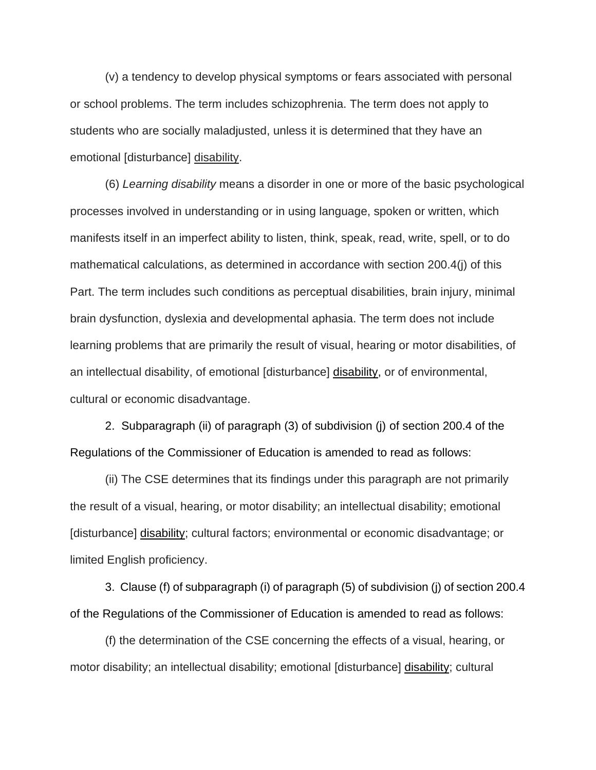(v) a tendency to develop physical symptoms or fears associated with personal or school problems. The term includes schizophrenia. The term does not apply to students who are socially maladjusted, unless it is determined that they have an emotional [disturbance] disability.

(6) *Learning disability* means a disorder in one or more of the basic psychological processes involved in understanding or in using language, spoken or written, which manifests itself in an imperfect ability to listen, think, speak, read, write, spell, or to do mathematical calculations, as determined in accordance with section 200.4(j) of this Part. The term includes such conditions as perceptual disabilities, brain injury, minimal brain dysfunction, dyslexia and developmental aphasia. The term does not include learning problems that are primarily the result of visual, hearing or motor disabilities, of an intellectual disability, of emotional [disturbance] disability, or of environmental, cultural or economic disadvantage.

2. Subparagraph (ii) of paragraph (3) of subdivision (j) of section 200.4 of the Regulations of the Commissioner of Education is amended to read as follows:

(ii) The CSE determines that its findings under this paragraph are not primarily the result of a visual, hearing, or motor disability; an intellectual disability; emotional [disturbance] disability; cultural factors; environmental or economic disadvantage; or limited English proficiency.

3. Clause (f) of subparagraph (i) of paragraph (5) of subdivision (j) of section 200.4 of the Regulations of the Commissioner of Education is amended to read as follows:

(f) the determination of the CSE concerning the effects of a visual, hearing, or motor disability; an intellectual disability; emotional [disturbance] disability; cultural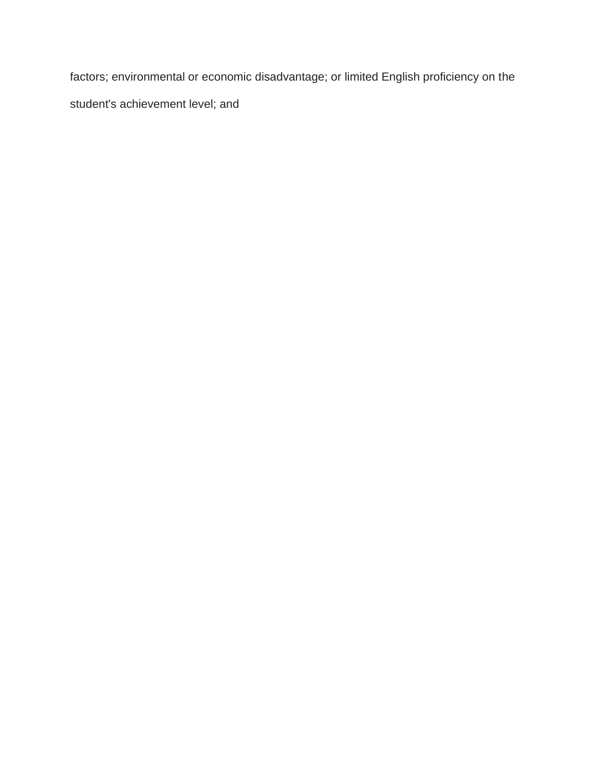factors; environmental or economic disadvantage; or limited English proficiency on the student's achievement level; and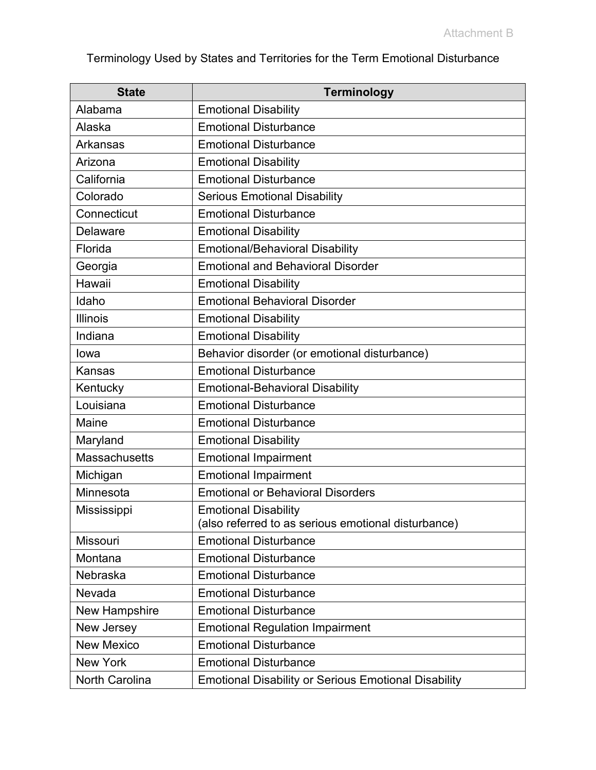Terminology Used by States and Territories for the Term Emotional Disturbance

| <b>State</b>         | <b>Terminology</b>                                                                 |
|----------------------|------------------------------------------------------------------------------------|
| Alabama              | <b>Emotional Disability</b>                                                        |
| Alaska               | <b>Emotional Disturbance</b>                                                       |
| Arkansas             | <b>Emotional Disturbance</b>                                                       |
| Arizona              | <b>Emotional Disability</b>                                                        |
| California           | <b>Emotional Disturbance</b>                                                       |
| Colorado             | <b>Serious Emotional Disability</b>                                                |
| Connecticut          | <b>Emotional Disturbance</b>                                                       |
| <b>Delaware</b>      | <b>Emotional Disability</b>                                                        |
| Florida              | <b>Emotional/Behavioral Disability</b>                                             |
| Georgia              | <b>Emotional and Behavioral Disorder</b>                                           |
| Hawaii               | <b>Emotional Disability</b>                                                        |
| Idaho                | <b>Emotional Behavioral Disorder</b>                                               |
| <b>Illinois</b>      | <b>Emotional Disability</b>                                                        |
| Indiana              | <b>Emotional Disability</b>                                                        |
| lowa                 | Behavior disorder (or emotional disturbance)                                       |
| Kansas               | <b>Emotional Disturbance</b>                                                       |
| Kentucky             | <b>Emotional-Behavioral Disability</b>                                             |
| Louisiana            | <b>Emotional Disturbance</b>                                                       |
| <b>Maine</b>         | <b>Emotional Disturbance</b>                                                       |
| Maryland             | <b>Emotional Disability</b>                                                        |
| <b>Massachusetts</b> | <b>Emotional Impairment</b>                                                        |
| Michigan             | <b>Emotional Impairment</b>                                                        |
| Minnesota            | <b>Emotional or Behavioral Disorders</b>                                           |
| Mississippi          | <b>Emotional Disability</b><br>(also referred to as serious emotional disturbance) |
| <b>Missouri</b>      | <b>Emotional Disturbance</b>                                                       |
| Montana              | <b>Emotional Disturbance</b>                                                       |
| Nebraska             | <b>Emotional Disturbance</b>                                                       |
| Nevada               | <b>Emotional Disturbance</b>                                                       |
| New Hampshire        | <b>Emotional Disturbance</b>                                                       |
| New Jersey           | <b>Emotional Regulation Impairment</b>                                             |
| <b>New Mexico</b>    | <b>Emotional Disturbance</b>                                                       |
| <b>New York</b>      | <b>Emotional Disturbance</b>                                                       |
| North Carolina       | <b>Emotional Disability or Serious Emotional Disability</b>                        |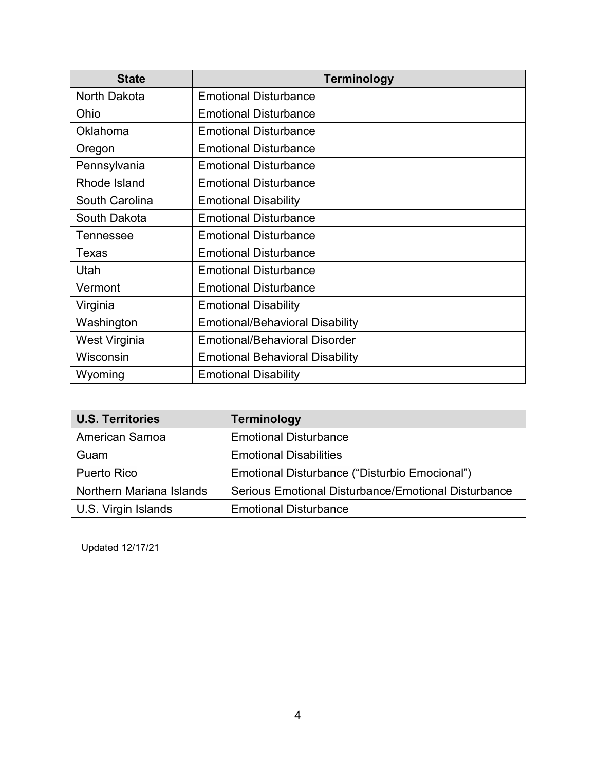| <b>State</b>     | <b>Terminology</b>                     |
|------------------|----------------------------------------|
| North Dakota     | <b>Emotional Disturbance</b>           |
| Ohio             | <b>Emotional Disturbance</b>           |
| Oklahoma         | <b>Emotional Disturbance</b>           |
| Oregon           | <b>Emotional Disturbance</b>           |
| Pennsylvania     | <b>Emotional Disturbance</b>           |
| Rhode Island     | <b>Emotional Disturbance</b>           |
| South Carolina   | <b>Emotional Disability</b>            |
| South Dakota     | <b>Emotional Disturbance</b>           |
| <b>Tennessee</b> | <b>Emotional Disturbance</b>           |
| Texas            | <b>Emotional Disturbance</b>           |
| Utah             | <b>Emotional Disturbance</b>           |
| Vermont          | <b>Emotional Disturbance</b>           |
| Virginia         | <b>Emotional Disability</b>            |
| Washington       | <b>Emotional/Behavioral Disability</b> |
| West Virginia    | <b>Emotional/Behavioral Disorder</b>   |
| Wisconsin        | <b>Emotional Behavioral Disability</b> |
| Wyoming          | <b>Emotional Disability</b>            |

| <b>U.S. Territories</b>  | <b>Terminology</b>                                  |
|--------------------------|-----------------------------------------------------|
| <b>American Samoa</b>    | <b>Emotional Disturbance</b>                        |
| Guam                     | <b>Emotional Disabilities</b>                       |
| <b>Puerto Rico</b>       | Emotional Disturbance ("Disturbio Emocional")       |
| Northern Mariana Islands | Serious Emotional Disturbance/Emotional Disturbance |
| U.S. Virgin Islands      | <b>Emotional Disturbance</b>                        |

Updated 12/17/21